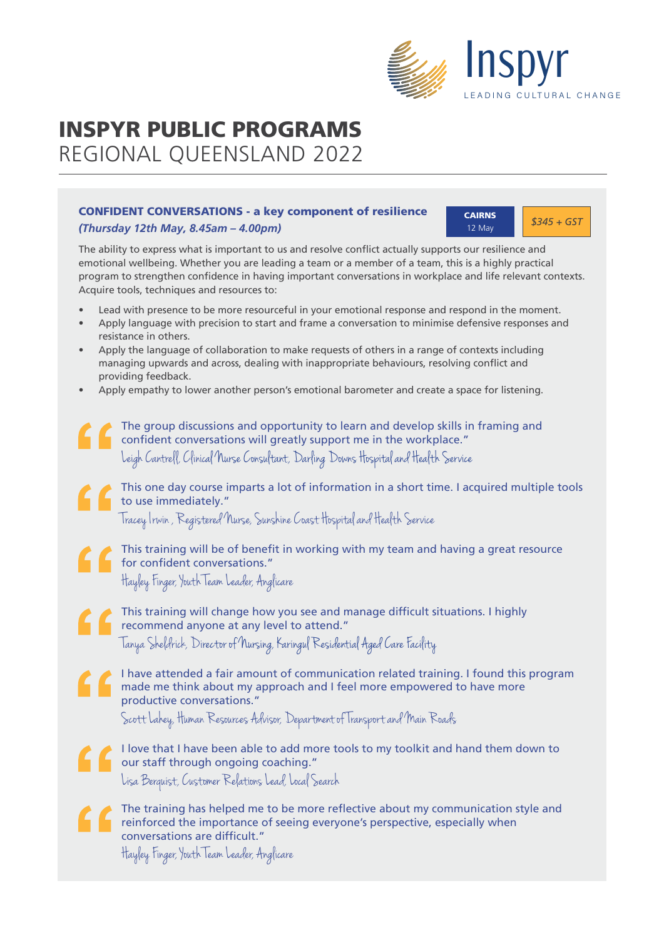

# INSPYR PUBLIC PROGRAMS REGIONAL QUEENSLAND 2022

### CONFIDENT CONVERSATIONS - a key component of resilience *(Thursday 12th May, 8.45am – 4.00pm)*

**CAIRNS**  $\begin{array}{|c|c|c|}\n\hline\n& & \text{S345 + G57}\n\end{array}$ 12 May

The ability to express what is important to us and resolve conflict actually supports our resilience and emotional wellbeing. Whether you are leading a team or a member of a team, this is a highly practical program to strengthen confidence in having important conversations in workplace and life relevant contexts. Acquire tools, techniques and resources to:

- Lead with presence to be more resourceful in your emotional response and respond in the moment.
- Apply language with precision to start and frame a conversation to minimise defensive responses and resistance in others.
- Apply the language of collaboration to make requests of others in a range of contexts including managing upwards and across, dealing with inappropriate behaviours, resolving conflict and providing feedback.
- Apply empathy to lower another person's emotional barometer and create a space for listening.
	- The group discussions and opportunity to learn and develop skills in framing and confident conversations will greatly support me in the workplace." Leigh Cantrell, Clinical Nurse Consultant, Darling Downs Hospital and Health Service

This one day course imparts a lot of information in a short time. I acquired multiple tools to use immediately."

Tracey Irwin , Registered Nurse, Sunshine C oast Hospital and Health Service

This training will be of benefit in working with my team and having a great resource for confident conversations." Hayley Finger, Youth Team Leader, Anglicare

This training will change how you see and manage difficult situations. I highly recommend anyone at any level to attend." Tanya Sheldrick, Director of Nursing, Karingul Residential Aged Care Facility

I have attended a fair amount of communication related training. I found this program made me think about my approach and I feel more empowered to have more productive conversations."

Scott Lahey, Human Resources Advisor, Department of Transport and Main Roads

I love that I have been able to add more tools to my toolkit and hand them down to our staff through ongoing coaching."

Lisa Berquist, Customer Relations Lead, Local Search

The training has helped me to be more reflective about my communication style and **references** reinforced the importance of seeing everyone's perspective, especially when conversations are difficult."

Hayley Finger, Youth Team Leader, Anglicare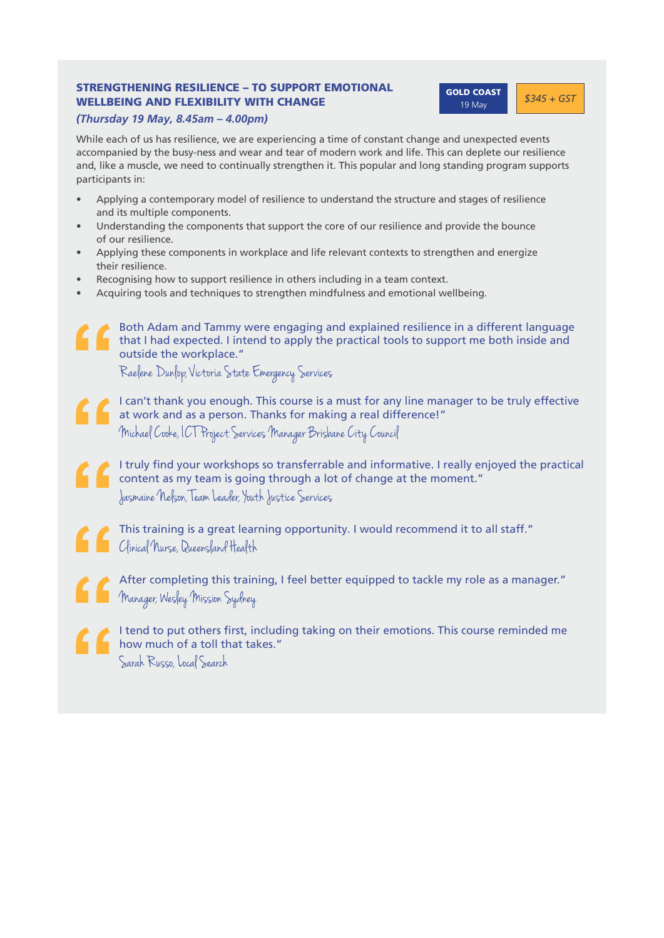### STRENGTHENING RESILIENCE – TO SUPPORT EMOTIONAL WELLBEING AND FLEXIBILITY WITH CHANGE

**60LD COAST 6345 + GST** 19 May

### *(Thursday 19 May, 8.45am – 4.00pm)*

While each of us has resilience, we are experiencing a time of constant change and unexpected events accompanied by the busy-ness and wear and tear of modern work and life. This can deplete our resilience and, like a muscle, we need to continually strengthen it. This popular and long standing program supports participants in:

- Applying a contemporary model of resilience to understand the structure and stages of resilience and its multiple components.
- Understanding the components that support the core of our resilience and provide the bounce of our resilience.
- Applying these components in workplace and life relevant contexts to strengthen and energize their resilience.
- Recognising how to support resilience in others including in a team context.
- Acquiring tools and techniques to strengthen mindfulness and emotional wellbeing.
	- Both Adam and Tammy were engaging and explained resilience in a different language that I had expected. I intend to apply the practical tools to support me both inside and outside the workplace."

Raelene Dunlop, Victoria State Emergency Services

- I can't thank you enough. This course is a must for any line manager to be truly effective at work and as a person. Thanks for making a real difference!" Michael Cooke, ICT Project Services Manager Brisbane City Council
- I truly find your workshops so transferrable and informative. I really enjoyed the practical content as my team is going through a lot of change at the moment." Jasmaine Nelson, Team Leader, Youth Justice Services
- This training is a great learning opportunity. I would recommend it to all staff." C linical Nurse, Queensland Health
- After completing this training, I feel better equipped to tackle my role as a manager." **Manager, Wesley Mission Sydney**
- I tend to put others first, including taking on their emotions. This course reminded me how much of a toll that takes." Sarah Russo, Local Search